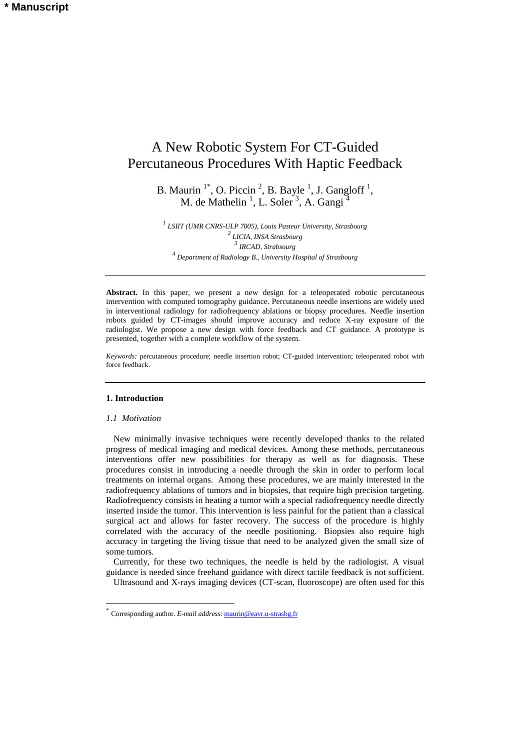# A New Robotic System For CT-Guided Percutaneous Procedures With Haptic Feedback

B. Maurin<sup>1\*</sup>, O. Piccin<sup>2</sup>, B. Bayle<sup>1</sup>, J. Gangloff<sup>1</sup>, M. de Mathelin<sup>1</sup>, L. Soler<sup>3</sup>, A. Gangi<sup>4</sup>

<sup>1</sup><br> *<sup>2</sup> LSIIT* (UMR CNRS-ULP 7005), Louis Pasteur University, Strasbourg  *LICIA, INSA Strasbourg*  <sup>3</sup> IRCAD, Strabsourg  *IRCAD, Strabsourg 4 Department of Radiology B., University Hospital of Strasbourg* 

Abstract. In this paper, we present a new design for a teleoperated robotic percutaneous intervention with computed tomography guidance. Percutaneous needle insertions are widely used in interventional radiology for radiofrequency ablations or biopsy procedures. Needle insertion robots guided by CT-images should improve accuracy and reduce X-ray exposure of the radiologist. We propose a new design with force feedback and CT guidance. A prototype is presented, together with a complete workflow of the system.

*Keywords:* percutaneous procedure; needle insertion robot; CT-guided intervention; teleoperated robot with force feedback.

### **1. Introduction**

#### *1.1 Motivation*

 $\overline{a}$ 

New minimally invasive techniques were recently developed thanks to the related progress of medical imaging and medical devices. Among these methods, percutaneous interventions offer new possibilities for therapy as well as for diagnosis. These procedures consist in introducing a needle through the skin in order to perform local treatments on internal organs. Among these procedures, we are mainly interested in the radiofrequency ablations of tumors and in biopsies, that require high precision targeting. Radiofrequency consists in heating a tumor with a special radiofrequency needle directly inserted inside the tumor. This intervention is less painful for the patient than a classical surgical act and allows for faster recovery. The success of the procedure is highly correlated with the accuracy of the needle positioning. Biopsies also require high accuracy in targeting the living tissue that need to be analyzed given the small size of some tumors.

Currently, for these two techniques, the needle is held by the radiologist. A visual guidance is needed since freehand guidance with direct tactile feedback is not sufficient.

Ultrasound and X-rays imaging devices (CT-scan, fluoroscope) are often used for this

<sup>\*</sup> Corresponding author. *E-mail address*: maurin@eavr.u-strasbg.fr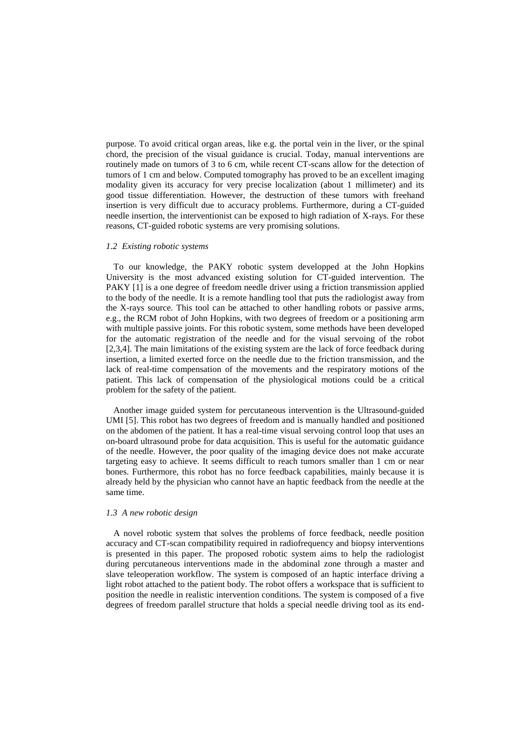purpose. To avoid critical organ areas, like e.g. the portal vein in the liver, or the spinal chord, the precision of the visual guidance is crucial. Today, manual interventions are routinely made on tumors of 3 to 6 cm, while recent CT-scans allow for the detection of tumors of 1 cm and below. Computed tomography has proved to be an excellent imaging modality given its accuracy for very precise localization (about 1 millimeter) and its good tissue differentiation. However, the destruction of these tumors with freehand insertion is very difficult due to accuracy problems. Furthermore, during a CT-guided needle insertion, the interventionist can be exposed to high radiation of X-rays. For these reasons, CT-guided robotic systems are very promising solutions.

#### *1.2 Existing robotic systems*

To our knowledge, the PAKY robotic system developped at the John Hopkins University is the most advanced existing solution for CT-guided intervention. The PAKY [1] is a one degree of freedom needle driver using a friction transmission applied to the body of the needle. It is a remote handling tool that puts the radiologist away from the X-rays source. This tool can be attached to other handling robots or passive arms, e.g., the RCM robot of John Hopkins, with two degrees of freedom or a positioning arm with multiple passive joints. For this robotic system, some methods have been developed for the automatic registration of the needle and for the visual servoing of the robot [2,3,4]. The main limitations of the existing system are the lack of force feedback during insertion, a limited exerted force on the needle due to the friction transmission, and the lack of real-time compensation of the movements and the respiratory motions of the patient. This lack of compensation of the physiological motions could be a critical problem for the safety of the patient.

Another image guided system for percutaneous intervention is the Ultrasound-guided UMI [5]. This robot has two degrees of freedom and is manually handled and positioned on the abdomen of the patient. It has a real-time visual servoing control loop that uses an on-board ultrasound probe for data acquisition. This is useful for the automatic guidance of the needle. However, the poor quality of the imaging device does not make accurate targeting easy to achieve. It seems difficult to reach tumors smaller than 1 cm or near bones. Furthermore, this robot has no force feedback capabilities, mainly because it is already held by the physician who cannot have an haptic feedback from the needle at the same time.

# *1.3 A new robotic design*

A novel robotic system that solves the problems of force feedback, needle position accuracy and CT-scan compatibility required in radiofrequency and biopsy interventions is presented in this paper. The proposed robotic system aims to help the radiologist during percutaneous interventions made in the abdominal zone through a master and slave teleoperation workflow. The system is composed of an haptic interface driving a light robot attached to the patient body. The robot offers a workspace that is sufficient to position the needle in realistic intervention conditions. The system is composed of a five degrees of freedom parallel structure that holds a special needle driving tool as its end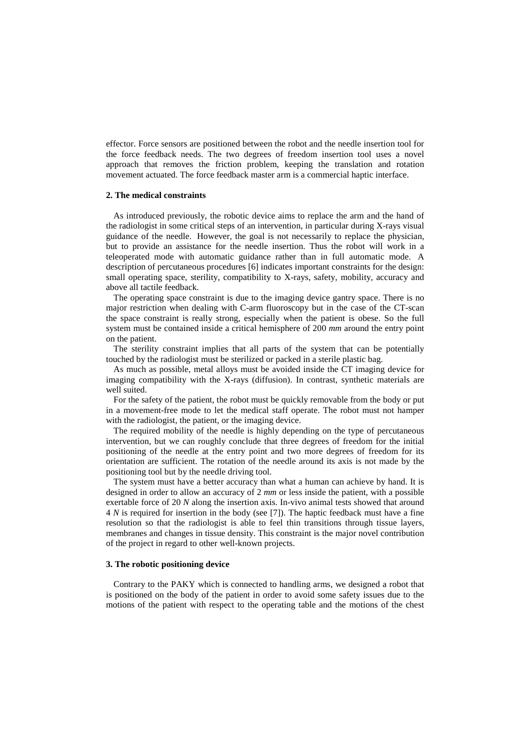effector. Force sensors are positioned between the robot and the needle insertion tool for the force feedback needs. The two degrees of freedom insertion tool uses a novel approach that removes the friction problem, keeping the translation and rotation movement actuated. The force feedback master arm is a commercial haptic interface.

#### **2. The medical constraints**

As introduced previously, the robotic device aims to replace the arm and the hand of the radiologist in some critical steps of an intervention, in particular during X-rays visual guidance of the needle. However, the goal is not necessarily to replace the physician, but to provide an assistance for the needle insertion. Thus the robot will work in a teleoperated mode with automatic guidance rather than in full automatic mode. A description of percutaneous procedures [6] indicates important constraints for the design: small operating space, sterility, compatibility to X-rays, safety, mobility, accuracy and above all tactile feedback.

The operating space constraint is due to the imaging device gantry space. There is no major restriction when dealing with C-arm fluoroscopy but in the case of the CT-scan the space constraint is really strong, especially when the patient is obese. So the full system must be contained inside a critical hemisphere of 200 *mm* around the entry point on the patient.

The sterility constraint implies that all parts of the system that can be potentially touched by the radiologist must be sterilized or packed in a sterile plastic bag.

As much as possible, metal alloys must be avoided inside the CT imaging device for imaging compatibility with the X-rays (diffusion). In contrast, synthetic materials are well suited.

For the safety of the patient, the robot must be quickly removable from the body or put in a movement-free mode to let the medical staff operate. The robot must not hamper with the radiologist, the patient, or the imaging device.

The required mobility of the needle is highly depending on the type of percutaneous intervention, but we can roughly conclude that three degrees of freedom for the initial positioning of the needle at the entry point and two more degrees of freedom for its orientation are sufficient. The rotation of the needle around its axis is not made by the positioning tool but by the needle driving tool.

The system must have a better accuracy than what a human can achieve by hand. It is designed in order to allow an accuracy of 2 *mm* or less inside the patient, with a possible exertable force of 20 *N* along the insertion axis. In-vivo animal tests showed that around 4 *N* is required for insertion in the body (see [7]). The haptic feedback must have a fine resolution so that the radiologist is able to feel thin transitions through tissue layers, membranes and changes in tissue density. This constraint is the major novel contribution of the project in regard to other well-known projects.

#### **3. The robotic positioning device**

Contrary to the PAKY which is connected to handling arms, we designed a robot that is positioned on the body of the patient in order to avoid some safety issues due to the motions of the patient with respect to the operating table and the motions of the chest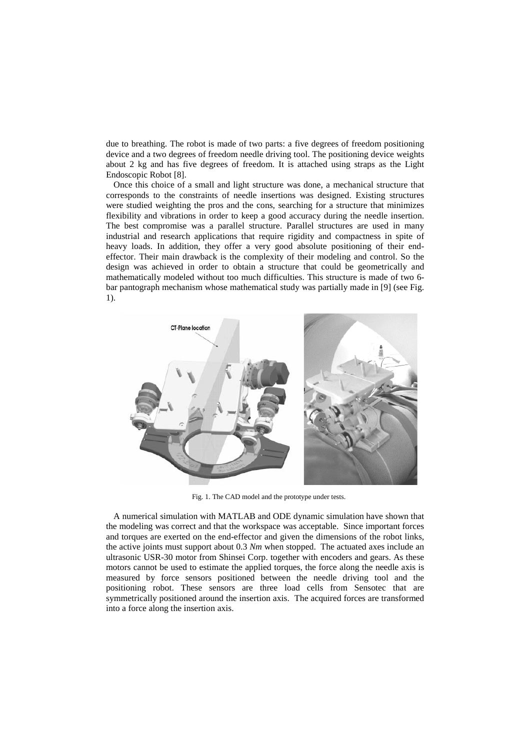due to breathing. The robot is made of two parts: a five degrees of freedom positioning device and a two degrees of freedom needle driving tool. The positioning device weights about 2 kg and has five degrees of freedom. It is attached using straps as the Light Endoscopic Robot [8].

Once this choice of a small and light structure was done, a mechanical structure that corresponds to the constraints of needle insertions was designed. Existing structures were studied weighting the pros and the cons, searching for a structure that minimizes flexibility and vibrations in order to keep a good accuracy during the needle insertion. The best compromise was a parallel structure. Parallel structures are used in many industrial and research applications that require rigidity and compactness in spite of heavy loads. In addition, they offer a very good absolute positioning of their endeffector. Their main drawback is the complexity of their modeling and control. So the design was achieved in order to obtain a structure that could be geometrically and mathematically modeled without too much difficulties. This structure is made of two 6 bar pantograph mechanism whose mathematical study was partially made in [9] (see Fig. 1).



Fig. 1. The CAD model and the prototype under tests.

A numerical simulation with MATLAB and ODE dynamic simulation have shown that the modeling was correct and that the workspace was acceptable. Since important forces and torques are exerted on the end-effector and given the dimensions of the robot links, the active joints must support about 0.3 *Nm* when stopped. The actuated axes include an ultrasonic USR-30 motor from Shinsei Corp. together with encoders and gears. As these motors cannot be used to estimate the applied torques, the force along the needle axis is measured by force sensors positioned between the needle driving tool and the positioning robot. These sensors are three load cells from Sensotec that are symmetrically positioned around the insertion axis. The acquired forces are transformed into a force along the insertion axis.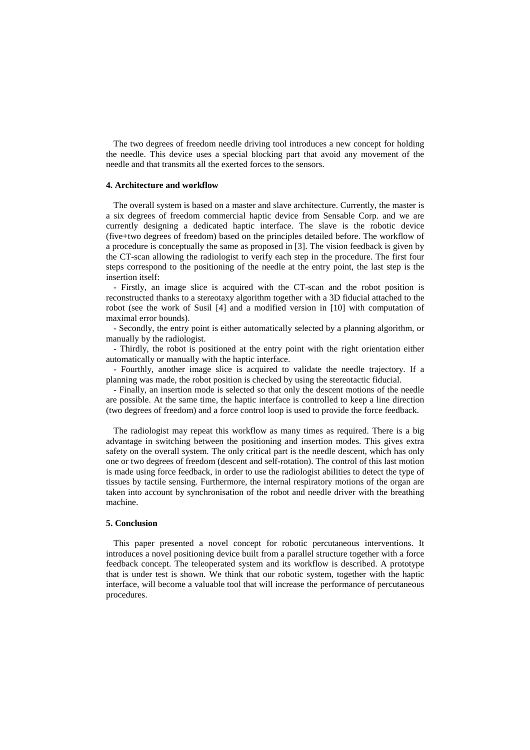The two degrees of freedom needle driving tool introduces a new concept for holding the needle. This device uses a special blocking part that avoid any movement of the needle and that transmits all the exerted forces to the sensors.

#### **4. Architecture and workflow**

The overall system is based on a master and slave architecture. Currently, the master is a six degrees of freedom commercial haptic device from Sensable Corp. and we are currently designing a dedicated haptic interface. The slave is the robotic device (five+two degrees of freedom) based on the principles detailed before. The workflow of a procedure is conceptually the same as proposed in [3]. The vision feedback is given by the CT-scan allowing the radiologist to verify each step in the procedure. The first four steps correspond to the positioning of the needle at the entry point, the last step is the insertion itself:

- Firstly, an image slice is acquired with the CT-scan and the robot position is reconstructed thanks to a stereotaxy algorithm together with a 3D fiducial attached to the robot (see the work of Susil [4] and a modified version in [10] with computation of maximal error bounds).

- Secondly, the entry point is either automatically selected by a planning algorithm, or manually by the radiologist.

- Thirdly, the robot is positioned at the entry point with the right orientation either automatically or manually with the haptic interface.

- Fourthly, another image slice is acquired to validate the needle trajectory. If a planning was made, the robot position is checked by using the stereotactic fiducial.

- Finally, an insertion mode is selected so that only the descent motions of the needle are possible. At the same time, the haptic interface is controlled to keep a line direction (two degrees of freedom) and a force control loop is used to provide the force feedback.

The radiologist may repeat this workflow as many times as required. There is a big advantage in switching between the positioning and insertion modes. This gives extra safety on the overall system. The only critical part is the needle descent, which has only one or two degrees of freedom (descent and self-rotation). The control of this last motion is made using force feedback, in order to use the radiologist abilities to detect the type of tissues by tactile sensing. Furthermore, the internal respiratory motions of the organ are taken into account by synchronisation of the robot and needle driver with the breathing machine.

## **5. Conclusion**

This paper presented a novel concept for robotic percutaneous interventions. It introduces a novel positioning device built from a parallel structure together with a force feedback concept. The teleoperated system and its workflow is described. A prototype that is under test is shown. We think that our robotic system, together with the haptic interface, will become a valuable tool that will increase the performance of percutaneous procedures.